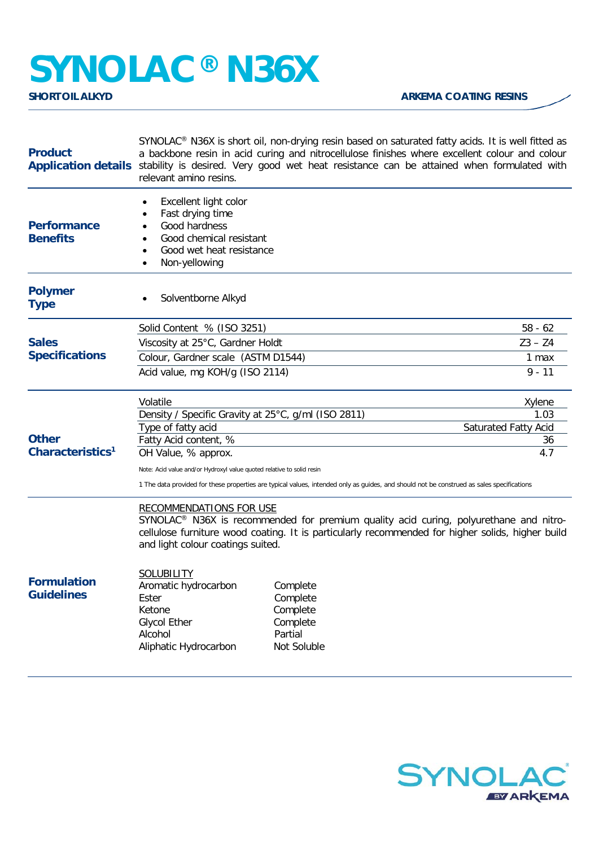## **SYNOLAC<sup>®</sup> N36X**

| <b>Product</b>                               | SYNOLAC® N36X is short oil, non-drying resin based on saturated fatty acids. It is well fitted as<br>a backbone resin in acid curing and nitrocellulose finishes where excellent colour and colour<br>Application details stability is desired. Very good wet heat resistance can be attained when formulated with<br>relevant amino resins. |                                                                        |                |
|----------------------------------------------|----------------------------------------------------------------------------------------------------------------------------------------------------------------------------------------------------------------------------------------------------------------------------------------------------------------------------------------------|------------------------------------------------------------------------|----------------|
| <b>Performance</b><br><b>Benefits</b>        | Excellent light color<br>Fast drying time<br>Good hardness<br>$\bullet$<br>Good chemical resistant<br>Good wet heat resistance<br>$\bullet$<br>Non-yellowing<br>$\bullet$                                                                                                                                                                    |                                                                        |                |
| <b>Polymer</b><br><b>Type</b>                | Solventborne Alkyd                                                                                                                                                                                                                                                                                                                           |                                                                        |                |
|                                              | Solid Content % (ISO 3251)                                                                                                                                                                                                                                                                                                                   |                                                                        | $58 - 62$      |
| <b>Sales</b>                                 | Viscosity at 25°C, Gardner Holdt                                                                                                                                                                                                                                                                                                             |                                                                        | $Z3 - Z4$      |
| <b>Specifications</b>                        | Colour, Gardner scale (ASTM D1544)                                                                                                                                                                                                                                                                                                           |                                                                        | 1 max          |
|                                              | Acid value, mg KOH/g (ISO 2114)                                                                                                                                                                                                                                                                                                              |                                                                        | $9 - 11$       |
| <b>Other</b><br>Characteristics <sup>1</sup> | Volatile                                                                                                                                                                                                                                                                                                                                     |                                                                        | Xylene<br>1.03 |
|                                              | Density / Specific Gravity at 25°C, g/ml (ISO 2811)<br>Type of fatty acid<br><b>Saturated Fatty Acid</b>                                                                                                                                                                                                                                     |                                                                        |                |
|                                              | Fatty Acid content, %                                                                                                                                                                                                                                                                                                                        |                                                                        | 36             |
|                                              | OH Value, % approx.                                                                                                                                                                                                                                                                                                                          |                                                                        | 4.7            |
|                                              | Note: Acid value and/or Hydroxyl value quoted relative to solid resin                                                                                                                                                                                                                                                                        |                                                                        |                |
|                                              | 1 The data provided for these properties are typical values, intended only as guides, and should not be construed as sales specifications                                                                                                                                                                                                    |                                                                        |                |
|                                              | <b>RECOMMENDATIONS FOR USE</b><br>SYNOLAC <sup>®</sup> N36X is recommended for premium quality acid curing, polyurethane and nitro-<br>cellulose furniture wood coating. It is particularly recommended for higher solids, higher build<br>and light colour coatings suited.                                                                 |                                                                        |                |
| <b>Formulation</b><br><b>Guidelines</b>      | <b>SOLUBILITY</b><br>Aromatic hydrocarbon<br>Ester<br>Ketone<br><b>Glycol Ether</b><br>Alcohol<br>Aliphatic Hydrocarbon                                                                                                                                                                                                                      | Complete<br>Complete<br>Complete<br>Complete<br>Partial<br>Not Soluble |                |